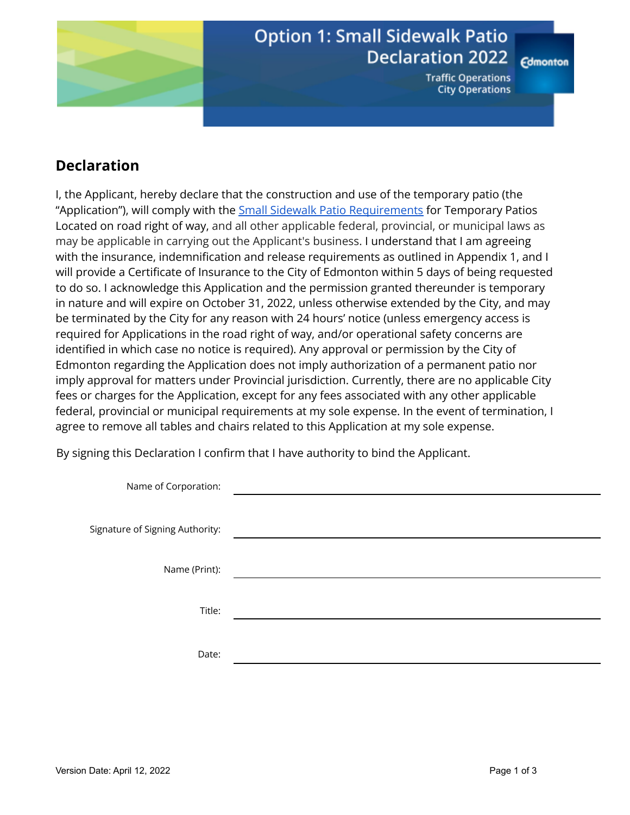

# **Option 1: Small Sidewalk Patio Declaration 2022**

**Traffic Operations City Operations** 

**Edmonton** 

## **Declaration**

I, the Applicant, hereby declare that the construction and use of the temporary patio (the "Application"), will comply with the Small Sidewalk Patio [Requirements](https://docs.google.com/document/u/0/d/1GMWQGlqMpukCI_0Yl98rFTKmHXGhPW6IUeLlPEFNXp4/edit) for Temporary Patios Located on road right of way, and all other applicable federal, provincial, or municipal laws as may be applicable in carrying out the Applicant's business. I understand that I am agreeing with the insurance, indemnification and release requirements as outlined in Appendix 1, and I will provide a Certificate of Insurance to the City of Edmonton within 5 days of being requested to do so. I acknowledge this Application and the permission granted thereunder is temporary in nature and will expire on October 31, 2022, unless otherwise extended by the City, and may be terminated by the City for any reason with 24 hours' notice (unless emergency access is required for Applications in the road right of way, and/or operational safety concerns are identified in which case no notice is required). Any approval or permission by the City of Edmonton regarding the Application does not imply authorization of a permanent patio nor imply approval for matters under Provincial jurisdiction. Currently, there are no applicable City fees or charges for the Application, except for any fees associated with any other applicable federal, provincial or municipal requirements at my sole expense. In the event of termination, I agree to remove all tables and chairs related to this Application at my sole expense.

By signing this Declaration I confirm that I have authority to bind the Applicant.

| Name of Corporation:            |  |
|---------------------------------|--|
|                                 |  |
| Signature of Signing Authority: |  |
|                                 |  |
| Name (Print):                   |  |
|                                 |  |
| Title:                          |  |
|                                 |  |
| Date:                           |  |
|                                 |  |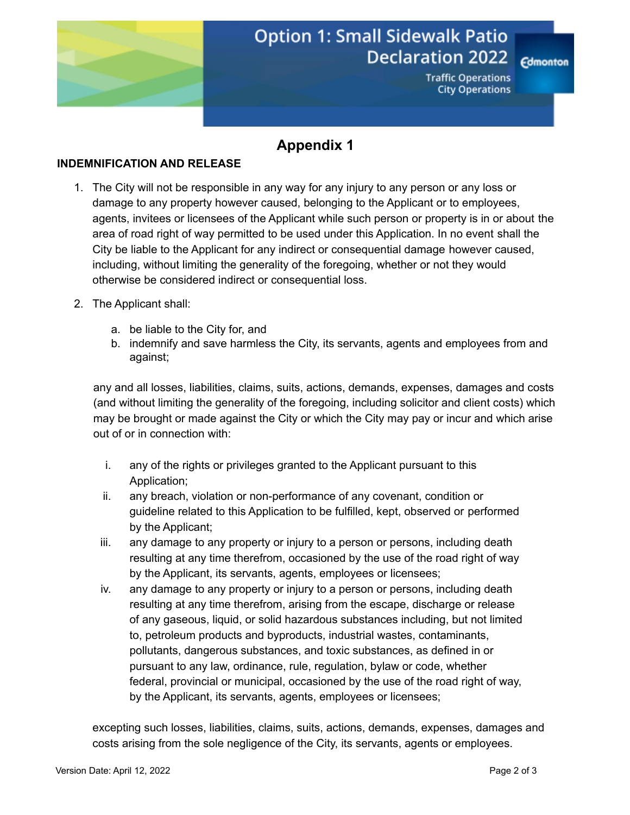

# **Option 1: Small Sidewalk Patio Declaration 2022**

**Edmonton** 

**Traffic Operations City Operations** 

### **Appendix 1**

#### **INDEMNIFICATION AND RELEASE**

- 1. The City will not be responsible in any way for any injury to any person or any loss or damage to any property however caused, belonging to the Applicant or to employees, agents, invitees or licensees of the Applicant while such person or property is in or about the area of road right of way permitted to be used under this Application. In no event shall the City be liable to the Applicant for any indirect or consequential damage however caused, including, without limiting the generality of the foregoing, whether or not they would otherwise be considered indirect or consequential loss.
- 2. The Applicant shall:
	- a. be liable to the City for, and
	- b. indemnify and save harmless the City, its servants, agents and employees from and against;

any and all losses, liabilities, claims, suits, actions, demands, expenses, damages and costs (and without limiting the generality of the foregoing, including solicitor and client costs) which may be brought or made against the City or which the City may pay or incur and which arise out of or in connection with:

- i. any of the rights or privileges granted to the Applicant pursuant to this Application;
- ii. any breach, violation or non-performance of any covenant, condition or guideline related to this Application to be fulfilled, kept, observed or performed by the Applicant;
- iii. any damage to any property or injury to a person or persons, including death resulting at any time therefrom, occasioned by the use of the road right of way by the Applicant, its servants, agents, employees or licensees;
- iv. any damage to any property or injury to a person or persons, including death resulting at any time therefrom, arising from the escape, discharge or release of any gaseous, liquid, or solid hazardous substances including, but not limited to, petroleum products and byproducts, industrial wastes, contaminants, pollutants, dangerous substances, and toxic substances, as defined in or pursuant to any law, ordinance, rule, regulation, bylaw or code, whether federal, provincial or municipal, occasioned by the use of the road right of way, by the Applicant, its servants, agents, employees or licensees;

excepting such losses, liabilities, claims, suits, actions, demands, expenses, damages and costs arising from the sole negligence of the City, its servants, agents or employees.